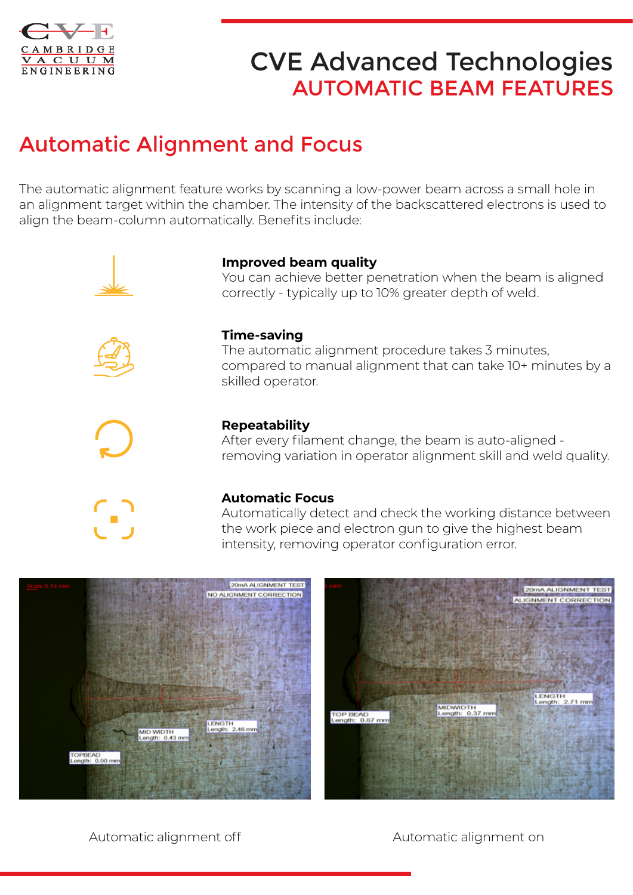

# CVE Advanced Technologies AUTOMATIC BEAM FEATURES

# Automatic Alignment and Focus

The automatic alignment feature works by scanning a low-power beam across a small hole in an alignment target within the chamber. The intensity of the backscattered electrons is used to align the beam-column automatically. Benefits include:





### **Improved beam quality**

You can achieve better penetration when the beam is aligned correctly - typically up to 10% greater depth of weld.



#### The automatic alignment procedure takes 3 minutes, compared to manual alignment that can take 10+ minutes by a skilled operator.



#### **Repeatability**

After every filament change, the beam is auto-aligned removing variation in operator alignment skill and weld quality.

#### **Automatic Focus**

Automatically detect and check the working distance between the work piece and electron gun to give the highest beam intensity, removing operator configuration error.



Automatic alignment off Automatic alignment on